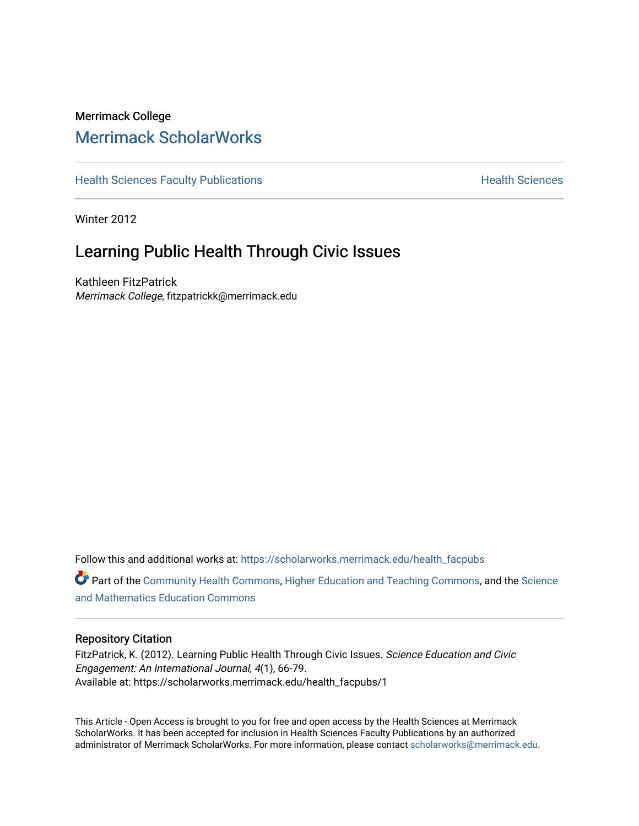## Merrimack College [Merrimack ScholarWorks](https://scholarworks.merrimack.edu/)

[Health Sciences Faculty Publications](https://scholarworks.merrimack.edu/health_facpubs) **Health Sciences** Health Sciences

Winter 2012

# Learning Public Health Through Civic Issues

Kathleen FitzPatrick Merrimack College, fitzpatrickk@merrimack.edu

Follow this and additional works at: [https://scholarworks.merrimack.edu/health\\_facpubs](https://scholarworks.merrimack.edu/health_facpubs?utm_source=scholarworks.merrimack.edu%2Fhealth_facpubs%2F1&utm_medium=PDF&utm_campaign=PDFCoverPages) 

Part of the [Community Health Commons,](http://network.bepress.com/hgg/discipline/714?utm_source=scholarworks.merrimack.edu%2Fhealth_facpubs%2F1&utm_medium=PDF&utm_campaign=PDFCoverPages) [Higher Education and Teaching Commons,](http://network.bepress.com/hgg/discipline/806?utm_source=scholarworks.merrimack.edu%2Fhealth_facpubs%2F1&utm_medium=PDF&utm_campaign=PDFCoverPages) and the [Science](http://network.bepress.com/hgg/discipline/800?utm_source=scholarworks.merrimack.edu%2Fhealth_facpubs%2F1&utm_medium=PDF&utm_campaign=PDFCoverPages)  [and Mathematics Education Commons](http://network.bepress.com/hgg/discipline/800?utm_source=scholarworks.merrimack.edu%2Fhealth_facpubs%2F1&utm_medium=PDF&utm_campaign=PDFCoverPages) 

#### Repository Citation

FitzPatrick, K. (2012). Learning Public Health Through Civic Issues. Science Education and Civic Engagement: An International Journal, 4(1), 66-79. Available at: https://scholarworks.merrimack.edu/health\_facpubs/1

This Article - Open Access is brought to you for free and open access by the Health Sciences at Merrimack ScholarWorks. It has been accepted for inclusion in Health Sciences Faculty Publications by an authorized administrator of Merrimack ScholarWorks. For more information, please contact [scholarworks@merrimack.edu](mailto:scholarworks@merrimack.edu).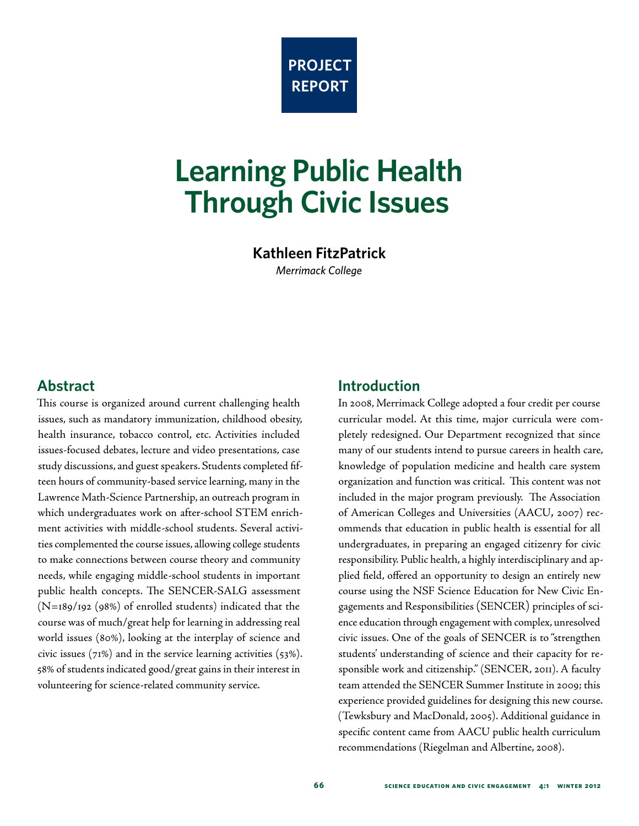

# **Learning Public Health Through Civic Issues**

**Kathleen FitzPatrick**

*Merrimack College*

## **Abstract**

This course is organized around current challenging health issues, such as mandatory immunization, childhood obesity, health insurance, tobacco control, etc. Activities included issues-focused debates, lecture and video presentations, case study discussions, and guest speakers. Students completed fifteen hours of community-based service learning, many in the Lawrence Math-Science Partnership, an outreach program in which undergraduates work on after-school STEM enrichment activities with middle-school students. Several activities complemented the course issues, allowing college students to make connections between course theory and community needs, while engaging middle-school students in important public health concepts. The SENCER-SALG assessment (N=189/192 (98%) of enrolled students) indicated that the course was of much/great help for learning in addressing real world issues (80%), looking at the interplay of science and civic issues  $(71%)$  and in the service learning activities  $(53%).$ 58% of students indicated good/great gains in their interest in volunteering for science-related community service.

## **Introduction**

In 2008, Merrimack College adopted a four credit per course curricular model. At this time, major curricula were completely redesigned. Our Department recognized that since many of our students intend to pursue careers in health care, knowledge of population medicine and health care system organization and function was critical. This content was not included in the major program previously. The Association of American Colleges and Universities (AACU, 2007) recommends that education in public health is essential for all undergraduates, in preparing an engaged citizenry for civic responsibility. Public health, a highly interdisciplinary and applied field, offered an opportunity to design an entirely new course using the NSF Science Education for New Civic Engagements and Responsibilities (SENCER) principles of science education through engagement with complex, unresolved civic issues. One of the goals of SENCER is to "strengthen students' understanding of science and their capacity for responsible work and citizenship." (SENCER, 2011). A faculty team attended the SENCER Summer Institute in 2009; this experience provided guidelines for designing this new course. (Tewksbury and MacDonald, 2005). Additional guidance in specific content came from AACU public health curriculum recommendations (Riegelman and Albertine, 2008).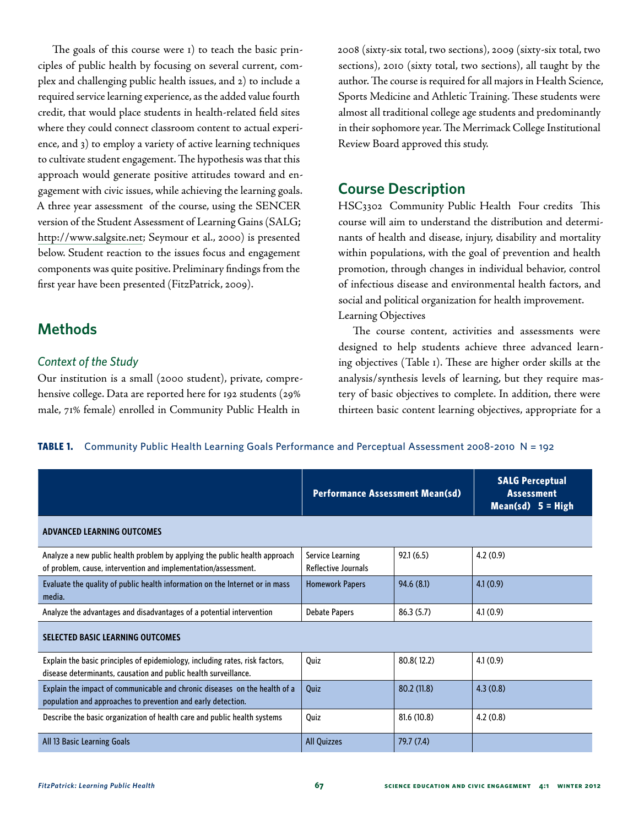The goals of this course were 1) to teach the basic principles of public health by focusing on several current, complex and challenging public health issues, and 2) to include a required service learning experience, as the added value fourth credit, that would place students in health-related field sites where they could connect classroom content to actual experience, and 3) to employ a variety of active learning techniques to cultivate student engagement. The hypothesis was that this approach would generate positive attitudes toward and engagement with civic issues, while achieving the learning goals. A three year assessment of the course, using the SENCER version of the Student Assessment of Learning Gains (SALG; [http://www.salgsite.net;](http://www.salgsite.net) Seymour et al., 2000) is presented below. Student reaction to the issues focus and engagement components was quite positive. Preliminary findings from the first year have been presented (FitzPatrick, 2009).

## **Methods**

#### *Context of the Study*

Our institution is a small (2000 student), private, comprehensive college. Data are reported here for 192 students (29% male, 71% female) enrolled in Community Public Health in

2008 (sixty-six total, two sections), 2009 (sixty-six total, two sections), 2010 (sixty total, two sections), all taught by the author. The course is required for all majors in Health Science, Sports Medicine and Athletic Training. These students were almost all traditional college age students and predominantly in their sophomore year. The Merrimack College Institutional Review Board approved this study.

## **Course Description**

HSC3302 Community Public Health Four credits This course will aim to understand the distribution and determinants of health and disease, injury, disability and mortality within populations, with the goal of prevention and health promotion, through changes in individual behavior, control of infectious disease and environmental health factors, and social and political organization for health improvement. Learning Objectives

The course content, activities and assessments were designed to help students achieve three advanced learning objectives (Table 1). These are higher order skills at the analysis/synthesis levels of learning, but they require mastery of basic objectives to complete. In addition, there were thirteen basic content learning objectives, appropriate for a

**TABLE 1.** Community Public Health Learning Goals Performance and Perceptual Assessment 2008-2010 N = 192

|                                                                                                                                                 | <b>Performance Assessment Mean(sd)</b>  |             | <b>SALG Perceptual</b><br><b>Assessment</b><br>Mean(sd) $5 = High$ |  |
|-------------------------------------------------------------------------------------------------------------------------------------------------|-----------------------------------------|-------------|--------------------------------------------------------------------|--|
| <b>ADVANCED LEARNING OUTCOMES</b>                                                                                                               |                                         |             |                                                                    |  |
| Analyze a new public health problem by applying the public health approach<br>of problem, cause, intervention and implementation/assessment.    | Service Learning<br>Reflective Journals | 92.1(6.5)   | 4.2(0.9)                                                           |  |
| Evaluate the quality of public health information on the Internet or in mass<br>media.                                                          | <b>Homework Papers</b>                  | 94.6(8.1)   | 4.1(0.9)                                                           |  |
| Analyze the advantages and disadvantages of a potential intervention                                                                            | <b>Debate Papers</b>                    | 86.3(5.7)   | 4.1(0.9)                                                           |  |
| <b>SELECTED BASIC LEARNING OUTCOMES</b>                                                                                                         |                                         |             |                                                                    |  |
| Explain the basic principles of epidemiology, including rates, risk factors,<br>disease determinants, causation and public health surveillance. | Quiz                                    | 80.8(12.2)  | 4.1(0.9)                                                           |  |
| Explain the impact of communicable and chronic diseases on the health of a<br>population and approaches to prevention and early detection.      | Quiz                                    | 80.2(11.8)  | 4.3(0.8)                                                           |  |
| Describe the basic organization of health care and public health systems                                                                        | Quiz                                    | 81.6 (10.8) | 4.2(0.8)                                                           |  |
| All 13 Basic Learning Goals                                                                                                                     | <b>All Quizzes</b>                      | 79.7 (7.4)  |                                                                    |  |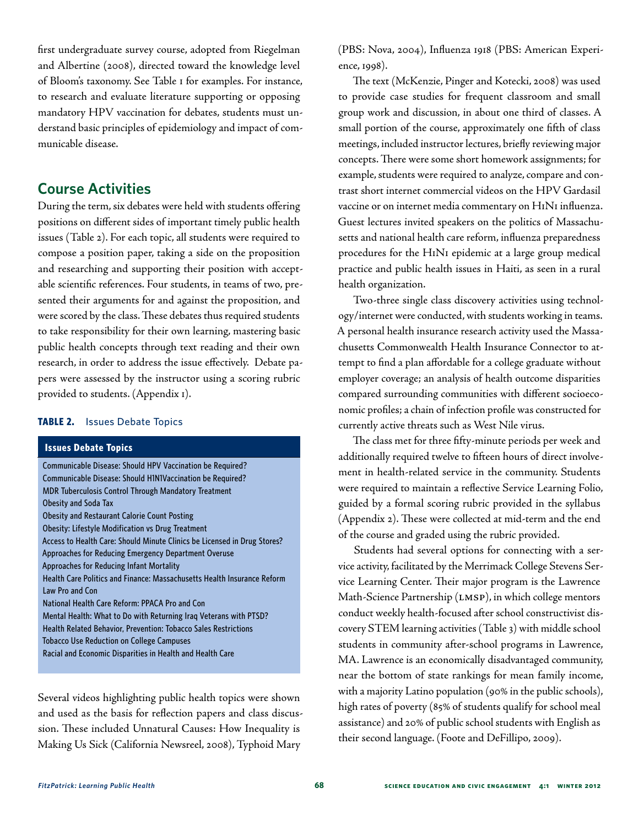first undergraduate survey course, adopted from Riegelman and Albertine (2008), directed toward the knowledge level of Bloom's taxonomy. See Table 1 for examples. For instance, to research and evaluate literature supporting or opposing mandatory HPV vaccination for debates, students must understand basic principles of epidemiology and impact of communicable disease.

## **Course Activities**

During the term, six debates were held with students offering positions on different sides of important timely public health issues (Table 2). For each topic, all students were required to compose a position paper, taking a side on the proposition and researching and supporting their position with acceptable scientific references. Four students, in teams of two, presented their arguments for and against the proposition, and were scored by the class. These debates thus required students to take responsibility for their own learning, mastering basic public health concepts through text reading and their own research, in order to address the issue effectively. Debate papers were assessed by the instructor using a scoring rubric provided to students. (Appendix 1).

#### **TABLE 2.** Issues Debate Topics

#### **Issues Debate Topics**

Communicable Disease: Should HPV Vaccination be Required? Communicable Disease: Should H1N1Vaccination be Required? MDR Tuberculosis Control Through Mandatory Treatment Obesity and Soda Tax Obesity and Restaurant Calorie Count Posting Obesity: Lifestyle Modification vs Drug Treatment Access to Health Care: Should Minute Clinics be Licensed in Drug Stores? Approaches for Reducing Emergency Department Overuse Approaches for Reducing Infant Mortality Health Care Politics and Finance: Massachusetts Health Insurance Reform Law Pro and Con National Health Care Reform: PPACA Pro and Con Mental Health: What to Do with Returning Iraq Veterans with PTSD? Health Related Behavior, Prevention: Tobacco Sales Restrictions Tobacco Use Reduction on College Campuses Racial and Economic Disparities in Health and Health Care

Several videos highlighting public health topics were shown and used as the basis for reflection papers and class discussion. These included Unnatural Causes: How Inequality is Making Us Sick (California Newsreel, 2008), Typhoid Mary

(PBS: Nova, 2004), Influenza 1918 (PBS: American Experience, 1998).

The text (McKenzie, Pinger and Kotecki, 2008) was used to provide case studies for frequent classroom and small group work and discussion, in about one third of classes. A small portion of the course, approximately one fifth of class meetings, included instructor lectures, briefly reviewing major concepts. There were some short homework assignments; for example, students were required to analyze, compare and contrast short internet commercial videos on the HPV Gardasil vaccine or on internet media commentary on H1N1 influenza. Guest lectures invited speakers on the politics of Massachusetts and national health care reform, influenza preparedness procedures for the H1N1 epidemic at a large group medical practice and public health issues in Haiti, as seen in a rural health organization.

Two-three single class discovery activities using technology/internet were conducted, with students working in teams. A personal health insurance research activity used the Massachusetts Commonwealth Health Insurance Connector to attempt to find a plan affordable for a college graduate without employer coverage; an analysis of health outcome disparities compared surrounding communities with different socioeconomic profiles; a chain of infection profile was constructed for currently active threats such as West Nile virus.

The class met for three fifty-minute periods per week and additionally required twelve to fifteen hours of direct involvement in health-related service in the community. Students were required to maintain a reflective Service Learning Folio, guided by a formal scoring rubric provided in the syllabus (Appendix 2). These were collected at mid-term and the end of the course and graded using the rubric provided.

Students had several options for connecting with a service activity, facilitated by the Merrimack College Stevens Service Learning Center. Their major program is the Lawrence Math-Science Partnership (LMSP), in which college mentors conduct weekly health-focused after school constructivist discovery STEM learning activities (Table 3) with middle school students in community after-school programs in Lawrence, MA. Lawrence is an economically disadvantaged community, near the bottom of state rankings for mean family income, with a majority Latino population (90% in the public schools), high rates of poverty (85% of students qualify for school meal assistance) and 20% of public school students with English as their second language. (Foote and DeFillipo, 2009).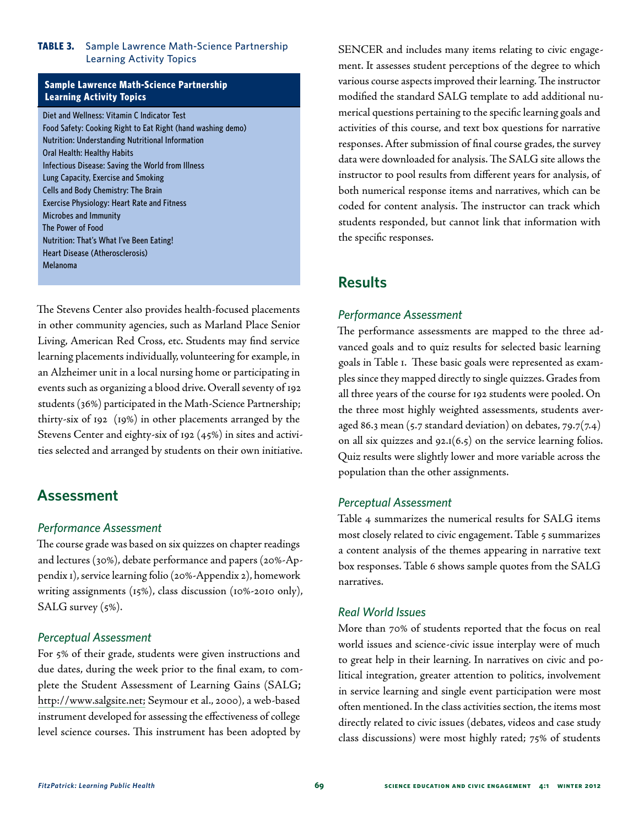#### **TABLE 3.** Sample Lawrence Math-Science Partnership Learning Activity Topics

#### **Sample Lawrence Math-Science Partnership Learning Activity Topics**

Diet and Wellness: Vitamin C Indicator Test Food Safety: Cooking Right to Eat Right (hand washing demo) Nutrition: Understanding Nutritional Information Oral Health: Healthy Habits Infectious Disease: Saving the World from Illness Lung Capacity, Exercise and Smoking Cells and Body Chemistry: The Brain Exercise Physiology: Heart Rate and Fitness Microbes and Immunity The Power of Food Nutrition: That's What I've Been Eating! Heart Disease (Atherosclerosis) Melanoma

The Stevens Center also provides health-focused placements in other community agencies, such as Marland Place Senior Living, American Red Cross, etc. Students may find service learning placements individually, volunteering for example, in an Alzheimer unit in a local nursing home or participating in events such as organizing a blood drive. Overall seventy of 192 students (36%) participated in the Math-Science Partnership; thirty-six of 192 (19%) in other placements arranged by the Stevens Center and eighty-six of 192 (45%) in sites and activities selected and arranged by students on their own initiative.

## **Assessment**

#### *Performance Assessment*

The course grade was based on six quizzes on chapter readings and lectures (30%), debate performance and papers (20%-Appendix 1), service learning folio (20%-Appendix 2), homework writing assignments (15%), class discussion (10%-2010 only), SALG survey (5%).

#### *Perceptual Assessment*

For 5% of their grade, students were given instructions and due dates, during the week prior to the final exam, to complete the Student Assessment of Learning Gains (SALG; <http://www.salgsite.net;>Seymour et al., 2000), a web-based instrument developed for assessing the effectiveness of college level science courses. This instrument has been adopted by

SENCER and includes many items relating to civic engagement. It assesses student perceptions of the degree to which various course aspects improved their learning. The instructor modified the standard SALG template to add additional numerical questions pertaining to the specific learning goals and activities of this course, and text box questions for narrative responses. After submission of final course grades, the survey data were downloaded for analysis. The SALG site allows the instructor to pool results from different years for analysis, of both numerical response items and narratives, which can be coded for content analysis. The instructor can track which students responded, but cannot link that information with the specific responses.

## **Results**

#### *Performance Assessment*

The performance assessments are mapped to the three advanced goals and to quiz results for selected basic learning goals in Table 1. These basic goals were represented as examples since they mapped directly to single quizzes. Grades from all three years of the course for 192 students were pooled. On the three most highly weighted assessments, students averaged 86.3 mean (5.7 standard deviation) on debates,  $79.7(7.4)$ on all six quizzes and  $92.1(6.5)$  on the service learning folios. Quiz results were slightly lower and more variable across the population than the other assignments.

#### *Perceptual Assessment*

Table 4 summarizes the numerical results for SALG items most closely related to civic engagement. Table 5 summarizes a content analysis of the themes appearing in narrative text box responses. Table 6 shows sample quotes from the SALG narratives.

#### *Real World Issues*

More than 70% of students reported that the focus on real world issues and science-civic issue interplay were of much to great help in their learning. In narratives on civic and political integration, greater attention to politics, involvement in service learning and single event participation were most often mentioned. In the class activities section, the items most directly related to civic issues (debates, videos and case study class discussions) were most highly rated; 75% of students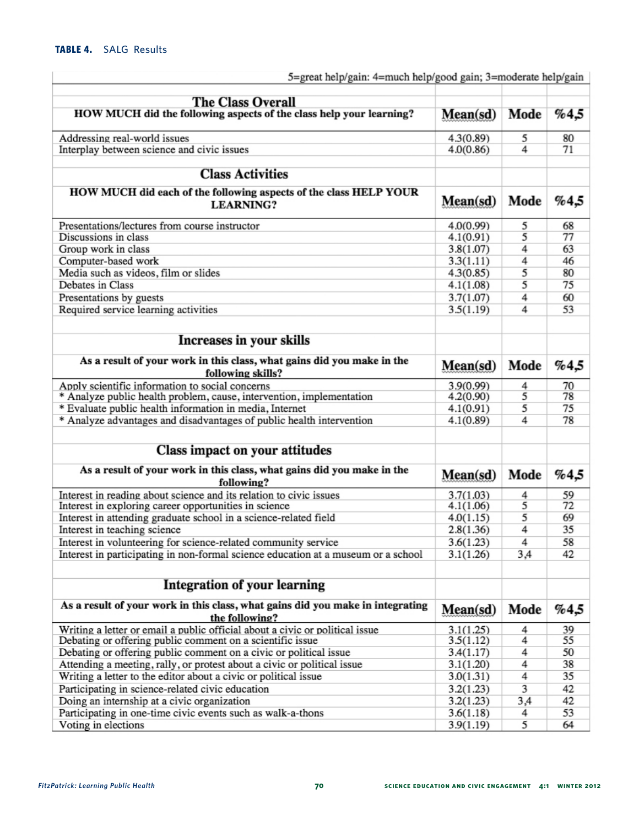| <b>The Class Overall</b>                                                                                                                  |                        |        |          |
|-------------------------------------------------------------------------------------------------------------------------------------------|------------------------|--------|----------|
| HOW MUCH did the following aspects of the class help your learning?                                                                       |                        | Mode   | %4,5     |
| Addressing real-world issues                                                                                                              | 4.3(0.89)              | 5      | 80       |
| Interplay between science and civic issues                                                                                                | 4.0(0.86)              | 4      | 71       |
|                                                                                                                                           |                        |        |          |
| <b>Class Activities</b>                                                                                                                   |                        |        |          |
| HOW MUCH did each of the following aspects of the class HELP YOUR<br><b>LEARNING?</b>                                                     | Mean(sd)               | Mode   | %4,5     |
| Presentations/lectures from course instructor                                                                                             | 4.0(0.99)              | 5      | 68       |
| Discussions in class                                                                                                                      |                        | 5      | 77       |
| Group work in class                                                                                                                       |                        | 4      | 63       |
| Computer-based work                                                                                                                       |                        | 4      | 46       |
| Media such as videos, film or slides                                                                                                      | 4.3(0.85)              | 5      | 80       |
| Debates in Class                                                                                                                          | 4.1(1.08)              | 5      | 75       |
| Presentations by guests                                                                                                                   | 3.7(1.07)              | 4      | 60       |
| Required service learning activities                                                                                                      | 3.5(1.19)              | 4      | 53       |
| Increases in your skills                                                                                                                  |                        |        |          |
| As a result of your work in this class, what gains did you make in the<br>following skills?                                               | Mean(sd)               | Mode   | %4,5     |
| Apply scientific information to social concerns                                                                                           | 3.9(0.99)              | 4      | 70       |
| * Analyze public health problem, cause, intervention, implementation                                                                      | 4.2(0.90)              | 5      | 78       |
| * Evaluate public health information in media, Internet                                                                                   | 4.1(0.91)              | 5      | 75       |
| * Analyze advantages and disadvantages of public health intervention                                                                      | 4.1(0.89)              | 4      | 78       |
| Class impact on your attitudes                                                                                                            |                        |        |          |
| As a result of your work in this class, what gains did you make in the                                                                    | Mean(sd)               | Mode   | %4,5     |
| following?                                                                                                                                |                        |        |          |
| Interest in reading about science and its relation to civic issues<br>Interest in exploring career opportunities in science               | 3.7(1.03)<br>4.1(1.06) | 4<br>5 | 59<br>72 |
| Interest in attending graduate school in a science-related field                                                                          | 4.0(1.15)              | 5      | 69       |
| Interest in teaching science                                                                                                              | 2.8(1.36)              | 4      | 35       |
| Interest in volunteering for science-related community service                                                                            | 3.6(1.23)              | 4      | 58       |
| Interest in participating in non-formal science education at a museum or a school                                                         | 3.1(1.26)              | 3,4    | 42       |
|                                                                                                                                           |                        |        |          |
| <b>Integration of your learning</b>                                                                                                       |                        |        |          |
| As a result of your work in this class, what gains did you make in integrating<br>the following?                                          | Mean(sd)               | Mode   | %4,5     |
| Writing a letter or email a public official about a civic or political issue<br>Debating or offering public comment on a scientific issue | 3.1(1.25)<br>3.5(1.12) | 4<br>4 | 39<br>55 |
| Debating or offering public comment on a civic or political issue                                                                         | 3.4(1.17)              | 4      | 50       |
| Attending a meeting, rally, or protest about a civic or political issue                                                                   | 3.1(1.20)              | 4      | 38       |
| Writing a letter to the editor about a civic or political issue                                                                           | 3.0(1.31)              | 4      | 35       |
| Participating in science-related civic education                                                                                          | 3.2(1.23)              | 3      | 42       |
| Doing an internship at a civic organization                                                                                               | 3.2(1.23)              | 3,4    | 42       |
| Participating in one-time civic events such as walk-a-thons                                                                               | 3.6(1.18)              | 4      | 53       |
| Voting in elections                                                                                                                       | 3.9(1.19)              | 5      | 64       |

## 5=great help/gain: 4=much help/good gain; 3=moderate help/gain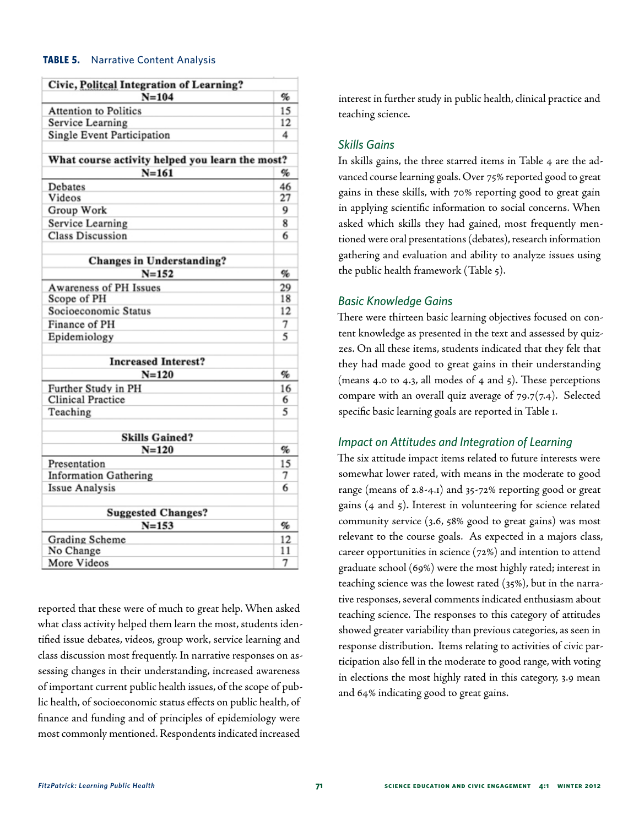#### **TABLE 5.** Narrative Content Analysis

| Civic, Politcal Integration of Learning?        |    |
|-------------------------------------------------|----|
| $N = 104$                                       | %  |
| <b>Attention to Politics</b>                    | 15 |
| Service Learning                                | 12 |
| Single Event Participation                      | 4  |
|                                                 |    |
| What course activity helped you learn the most? |    |
| $N = 161$                                       | %  |
| Debates                                         | 46 |
| Videos                                          | 27 |
| Group Work                                      | 9  |
| Service Learning                                | 8  |
| <b>Class Discussion</b>                         | 6  |
| <b>Changes in Understanding?</b>                |    |
| $N = 152$                                       | %  |
| Awareness of PH Issues                          | 29 |
| Scope of PH                                     | 18 |
| Socioeconomic Status                            | 12 |
| Finance of PH                                   | 7  |
| Epidemiology                                    | 5  |
| <b>Increased Interest?</b>                      |    |
| $N = 120$                                       | %  |
| Further Study in PH                             | 16 |
| <b>Clinical Practice</b>                        | 6  |
| Teaching                                        | 5  |
|                                                 |    |
| <b>Skills Gained?</b>                           |    |
| $N = 120$                                       | %  |
| Presentation                                    | 15 |
| <b>Information Gathering</b>                    | 7  |
| <b>Issue Analysis</b>                           | 6  |
| <b>Suggested Changes?</b>                       |    |
| $N = 153$                                       | %  |
| Grading Scheme                                  | 12 |
| No Change                                       | 11 |
| More Videos                                     | 7  |

reported that these were of much to great help. When asked what class activity helped them learn the most, students identified issue debates, videos, group work, service learning and class discussion most frequently. In narrative responses on assessing changes in their understanding, increased awareness of important current public health issues, of the scope of public health, of socioeconomic status effects on public health, of finance and funding and of principles of epidemiology were most commonly mentioned. Respondents indicated increased

interest in further study in public health, clinical practice and teaching science.

#### *Skills Gains*

In skills gains, the three starred items in Table 4 are the advanced course learning goals. Over 75% reported good to great gains in these skills, with 70% reporting good to great gain in applying scientific information to social concerns. When asked which skills they had gained, most frequently mentioned were oral presentations (debates), research information gathering and evaluation and ability to analyze issues using the public health framework (Table 5).

#### *Basic Knowledge Gains*

There were thirteen basic learning objectives focused on content knowledge as presented in the text and assessed by quizzes. On all these items, students indicated that they felt that they had made good to great gains in their understanding (means 4.0 to 4.3, all modes of 4 and 5). These perceptions compare with an overall quiz average of 79.7(7.4). Selected specific basic learning goals are reported in Table 1.

#### *Impact on Attitudes and Integration of Learning*

The six attitude impact items related to future interests were somewhat lower rated, with means in the moderate to good range (means of 2.8-4.1) and 35-72% reporting good or great gains (4 and 5). Interest in volunteering for science related community service (3.6, 58% good to great gains) was most relevant to the course goals. As expected in a majors class, career opportunities in science (72%) and intention to attend graduate school (69%) were the most highly rated; interest in teaching science was the lowest rated (35%), but in the narrative responses, several comments indicated enthusiasm about teaching science. The responses to this category of attitudes showed greater variability than previous categories, as seen in response distribution. Items relating to activities of civic participation also fell in the moderate to good range, with voting in elections the most highly rated in this category, 3.9 mean and 64% indicating good to great gains.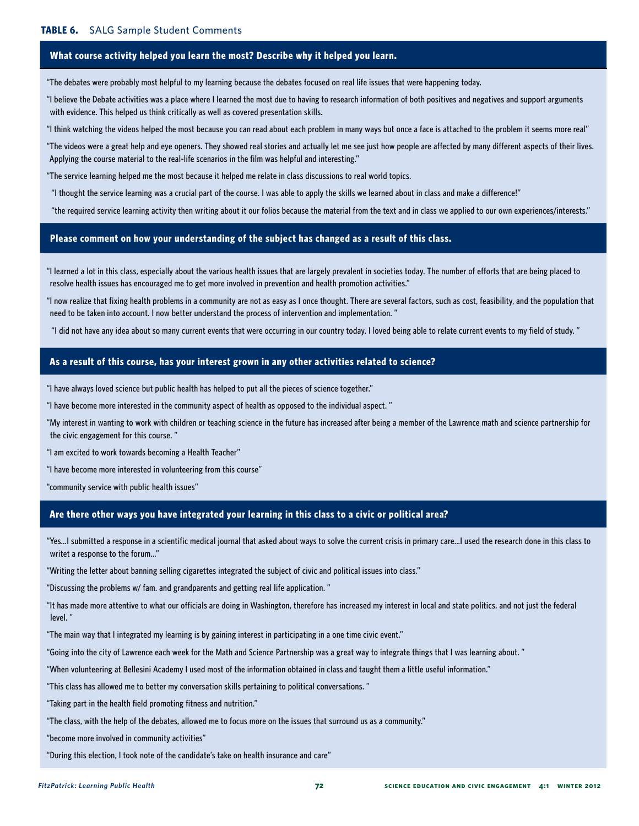#### **What course activity helped you learn the most? Describe why it helped you learn.**

"The debates were probably most helpful to my learning because the debates focused on real life issues that were happening today.

"I believe the Debate activities was a place where I learned the most due to having to research information of both positives and negatives and support arguments with evidence. This helped us think critically as well as covered presentation skills.

"I think watching the videos helped the most because you can read about each problem in many ways but once a face is attached to the problem it seems more real"

"The videos were a great help and eye openers. They showed real stories and actually let me see just how people are affected by many different aspects of their lives. Applying the course material to the real-life scenarios in the film was helpful and interesting."

"The service learning helped me the most because it helped me relate in class discussions to real world topics.

"I thought the service learning was a crucial part of the course. I was able to apply the skills we learned about in class and make a difference!"

"the required service learning activity then writing about it our folios because the material from the text and in class we applied to our own experiences/interests."

#### **Please comment on how your understanding of the subject has changed as a result of this class.**

"I learned a lot in this class, especially about the various health issues that are largely prevalent in societies today. The number of efforts that are being placed to resolve health issues has encouraged me to get more involved in prevention and health promotion activities."

"I now realize that fixing health problems in a community are not as easy as I once thought. There are several factors, such as cost, feasibility, and the population that need to be taken into account. I now better understand the process of intervention and implementation. "

"I did not have any idea about so many current events that were occurring in our country today. I loved being able to relate current events to my field of study. "

#### **As a result of this course, has your interest grown in any other activities related to science?**

"I have always loved science but public health has helped to put all the pieces of science together."

"I have become more interested in the community aspect of health as opposed to the individual aspect. "

"My interest in wanting to work with children or teaching science in the future has increased after being a member of the Lawrence math and science partnership for the civic engagement for this course. "

"I am excited to work towards becoming a Health Teacher"

"I have become more interested in volunteering from this course"

"community service with public health issues"

#### **Are there other ways you have integrated your learning in this class to a civic or political area?**

"Yes...I submitted a response in a scientific medical journal that asked about ways to solve the current crisis in primary care...I used the research done in this class to writet a response to the forum..."

"Writing the letter about banning selling cigarettes integrated the subject of civic and political issues into class."

"Discussing the problems w/ fam. and grandparents and getting real life application. "

"It has made more attentive to what our officials are doing in Washington, therefore has increased my interest in local and state politics, and not just the federal level. "

"The main way that I integrated my learning is by gaining interest in participating in a one time civic event."

"Going into the city of Lawrence each week for the Math and Science Partnership was a great way to integrate things that I was learning about. "

"When volunteering at Bellesini Academy I used most of the information obtained in class and taught them a little useful information."

"This class has allowed me to better my conversation skills pertaining to political conversations. "

"Taking part in the health field promoting fitness and nutrition."

"The class, with the help of the debates, allowed me to focus more on the issues that surround us as a community."

"become more involved in community activities"

"During this election, I took note of the candidate's take on health insurance and care"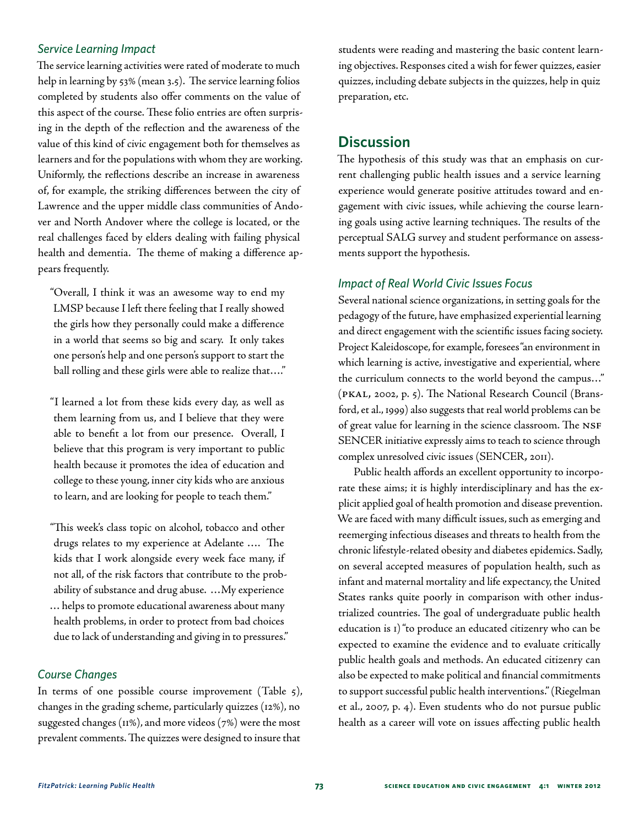#### *Service Learning Impact*

The service learning activities were rated of moderate to much help in learning by 53% (mean 3.5). The service learning folios completed by students also offer comments on the value of this aspect of the course. These folio entries are often surprising in the depth of the reflection and the awareness of the value of this kind of civic engagement both for themselves as learners and for the populations with whom they are working. Uniformly, the reflections describe an increase in awareness of, for example, the striking differences between the city of Lawrence and the upper middle class communities of Andover and North Andover where the college is located, or the real challenges faced by elders dealing with failing physical health and dementia. The theme of making a difference appears frequently.

"Overall, I think it was an awesome way to end my LMSP because I left there feeling that I really showed the girls how they personally could make a difference in a world that seems so big and scary. It only takes one person's help and one person's support to start the ball rolling and these girls were able to realize that…."

"I learned a lot from these kids every day, as well as them learning from us, and I believe that they were able to benefit a lot from our presence. Overall, I believe that this program is very important to public health because it promotes the idea of education and college to these young, inner city kids who are anxious to learn, and are looking for people to teach them."

"This week's class topic on alcohol, tobacco and other drugs relates to my experience at Adelante …. The kids that I work alongside every week face many, if not all, of the risk factors that contribute to the probability of substance and drug abuse. …My experience … helps to promote educational awareness about many health problems, in order to protect from bad choices due to lack of understanding and giving in to pressures."

#### *Course Changes*

In terms of one possible course improvement (Table 5), changes in the grading scheme, particularly quizzes (12%), no suggested changes (11%), and more videos (7%) were the most prevalent comments. The quizzes were designed to insure that

students were reading and mastering the basic content learning objectives. Responses cited a wish for fewer quizzes, easier quizzes, including debate subjects in the quizzes, help in quiz preparation, etc.

## **Discussion**

The hypothesis of this study was that an emphasis on current challenging public health issues and a service learning experience would generate positive attitudes toward and engagement with civic issues, while achieving the course learning goals using active learning techniques. The results of the perceptual SALG survey and student performance on assessments support the hypothesis.

#### *Impact of Real World Civic Issues Focus*

Several national science organizations, in setting goals for the pedagogy of the future, have emphasized experiential learning and direct engagement with the scientific issues facing society. Project Kaleidoscope, for example, foresees "an environment in which learning is active, investigative and experiential, where the curriculum connects to the world beyond the campus…" (PKAL, 2002, p. 5). The National Research Council (Bransford, et al., 1999) also suggests that real world problems can be of great value for learning in the science classroom. The NSF SENCER initiative expressly aims to teach to science through complex unresolved civic issues (SENCER, 2011).

Public health affords an excellent opportunity to incorporate these aims; it is highly interdisciplinary and has the explicit applied goal of health promotion and disease prevention. We are faced with many difficult issues, such as emerging and reemerging infectious diseases and threats to health from the chronic lifestyle-related obesity and diabetes epidemics. Sadly, on several accepted measures of population health, such as infant and maternal mortality and life expectancy, the United States ranks quite poorly in comparison with other industrialized countries. The goal of undergraduate public health education is 1) "to produce an educated citizenry who can be expected to examine the evidence and to evaluate critically public health goals and methods. An educated citizenry can also be expected to make political and financial commitments to support successful public health interventions." (Riegelman et al., 2007, p. 4). Even students who do not pursue public health as a career will vote on issues affecting public health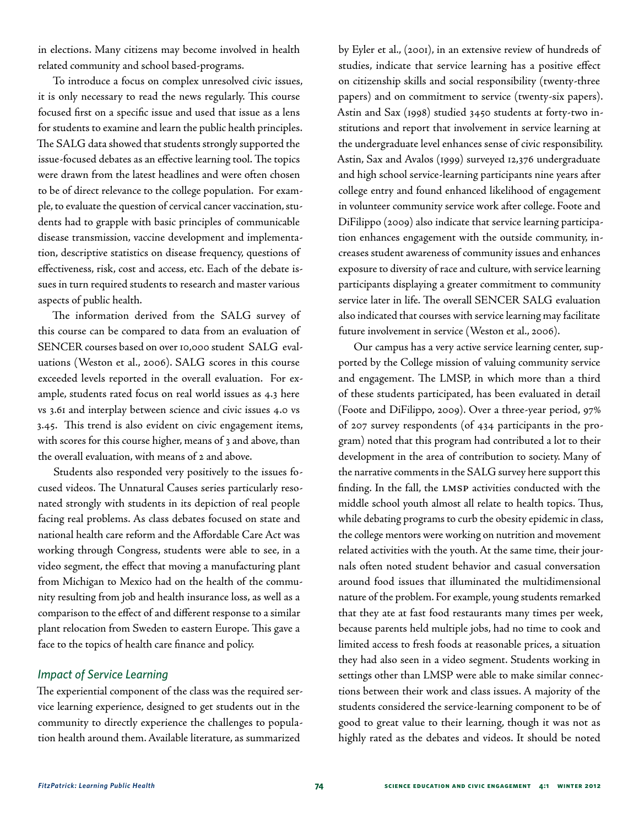in elections. Many citizens may become involved in health related community and school based-programs.

To introduce a focus on complex unresolved civic issues, it is only necessary to read the news regularly. This course focused first on a specific issue and used that issue as a lens for students to examine and learn the public health principles. The SALG data showed that students strongly supported the issue-focused debates as an effective learning tool. The topics were drawn from the latest headlines and were often chosen to be of direct relevance to the college population. For example, to evaluate the question of cervical cancer vaccination, students had to grapple with basic principles of communicable disease transmission, vaccine development and implementation, descriptive statistics on disease frequency, questions of effectiveness, risk, cost and access, etc. Each of the debate issues in turn required students to research and master various aspects of public health.

The information derived from the SALG survey of this course can be compared to data from an evaluation of SENCER courses based on over 10,000 student SALG evaluations (Weston et al., 2006). SALG scores in this course exceeded levels reported in the overall evaluation. For example, students rated focus on real world issues as 4.3 here vs 3.61 and interplay between science and civic issues 4.0 vs 3.45. This trend is also evident on civic engagement items, with scores for this course higher, means of 3 and above, than the overall evaluation, with means of 2 and above.

Students also responded very positively to the issues focused videos. The Unnatural Causes series particularly resonated strongly with students in its depiction of real people facing real problems. As class debates focused on state and national health care reform and the Affordable Care Act was working through Congress, students were able to see, in a video segment, the effect that moving a manufacturing plant from Michigan to Mexico had on the health of the community resulting from job and health insurance loss, as well as a comparison to the effect of and different response to a similar plant relocation from Sweden to eastern Europe. This gave a face to the topics of health care finance and policy.

#### *Impact of Service Learning*

The experiential component of the class was the required service learning experience, designed to get students out in the community to directly experience the challenges to population health around them. Available literature, as summarized

by Eyler et al., (2001), in an extensive review of hundreds of studies, indicate that service learning has a positive effect on citizenship skills and social responsibility (twenty-three papers) and on commitment to service (twenty-six papers). Astin and Sax (1998) studied 3450 students at forty-two institutions and report that involvement in service learning at the undergraduate level enhances sense of civic responsibility. Astin, Sax and Avalos (1999) surveyed 12,376 undergraduate and high school service-learning participants nine years after college entry and found enhanced likelihood of engagement in volunteer community service work after college. Foote and DiFilippo (2009) also indicate that service learning participation enhances engagement with the outside community, increases student awareness of community issues and enhances exposure to diversity of race and culture, with service learning participants displaying a greater commitment to community service later in life. The overall SENCER SALG evaluation also indicated that courses with service learning may facilitate future involvement in service (Weston et al., 2006).

Our campus has a very active service learning center, supported by the College mission of valuing community service and engagement. The LMSP, in which more than a third of these students participated, has been evaluated in detail (Foote and DiFilippo, 2009). Over a three-year period, 97% of 207 survey respondents (of 434 participants in the program) noted that this program had contributed a lot to their development in the area of contribution to society. Many of the narrative comments in the SALG survey here support this finding. In the fall, the LMSP activities conducted with the middle school youth almost all relate to health topics. Thus, while debating programs to curb the obesity epidemic in class, the college mentors were working on nutrition and movement related activities with the youth. At the same time, their journals often noted student behavior and casual conversation around food issues that illuminated the multidimensional nature of the problem. For example, young students remarked that they ate at fast food restaurants many times per week, because parents held multiple jobs, had no time to cook and limited access to fresh foods at reasonable prices, a situation they had also seen in a video segment. Students working in settings other than LMSP were able to make similar connections between their work and class issues. A majority of the students considered the service-learning component to be of good to great value to their learning, though it was not as highly rated as the debates and videos. It should be noted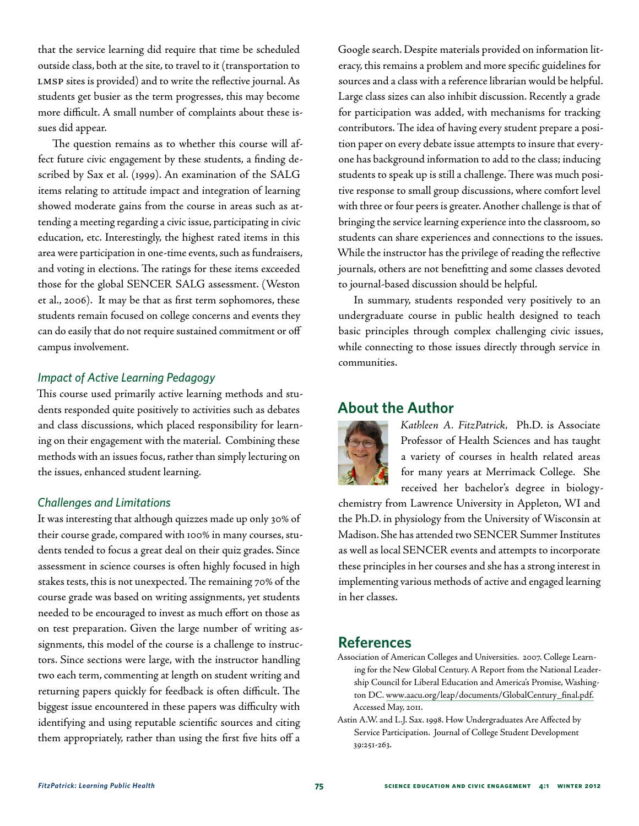that the service learning did require that time be scheduled outside class, both at the site, to travel to it (transportation to LMSP sites is provided) and to write the reflective journal. As students get busier as the term progresses, this may become more difficult. A small number of complaints about these issues did appear.

The question remains as to whether this course will affect future civic engagement by these students, a finding described by Sax et al. (1999). An examination of the SALG items relating to attitude impact and integration of learning showed moderate gains from the course in areas such as attending a meeting regarding a civic issue, participating in civic education, etc. Interestingly, the highest rated items in this area were participation in one-time events, such as fundraisers, and voting in elections. The ratings for these items exceeded those for the global SENCER SALG assessment. (Weston et al., 2006). It may be that as first term sophomores, these students remain focused on college concerns and events they can do easily that do not require sustained commitment or off campus involvement.

#### *Impact of Active Learning Pedagogy*

This course used primarily active learning methods and students responded quite positively to activities such as debates and class discussions, which placed responsibility for learning on their engagement with the material. Combining these methods with an issues focus, rather than simply lecturing on the issues, enhanced student learning.

#### *Challenges and Limitations*

It was interesting that although quizzes made up only 30% of their course grade, compared with 100% in many courses, students tended to focus a great deal on their quiz grades. Since assessment in science courses is often highly focused in high stakes tests, this is not unexpected. The remaining 70% of the course grade was based on writing assignments, yet students needed to be encouraged to invest as much effort on those as on test preparation. Given the large number of writing assignments, this model of the course is a challenge to instructors. Since sections were large, with the instructor handling two each term, commenting at length on student writing and returning papers quickly for feedback is often difficult. The biggest issue encountered in these papers was difficulty with identifying and using reputable scientific sources and citing them appropriately, rather than using the first five hits off a

Google search. Despite materials provided on information literacy, this remains a problem and more specific guidelines for sources and a class with a reference librarian would be helpful. Large class sizes can also inhibit discussion. Recently a grade for participation was added, with mechanisms for tracking contributors. The idea of having every student prepare a position paper on every debate issue attempts to insure that everyone has background information to add to the class; inducing students to speak up is still a challenge. There was much positive response to small group discussions, where comfort level with three or four peers is greater. Another challenge is that of bringing the service learning experience into the classroom, so students can share experiences and connections to the issues. While the instructor has the privilege of reading the reflective journals, others are not benefitting and some classes devoted to journal-based discussion should be helpful.

In summary, students responded very positively to an undergraduate course in public health designed to teach basic principles through complex challenging civic issues, while connecting to those issues directly through service in communities.

## **About the Author**



*Kathleen A. FitzPatrick,* Ph.D. is Associate Professor of Health Sciences and has taught a variety of courses in health related areas for many years at Merrimack College. She received her bachelor's degree in biology-

chemistry from Lawrence University in Appleton, WI and the Ph.D. in physiology from the University of Wisconsin at Madison. She has attended two SENCER Summer Institutes as well as local SENCER events and attempts to incorporate these principles in her courses and she has a strong interest in implementing various methods of active and engaged learning in her classes.

### **References**

- Association of American Colleges and Universities. 2007. College Learning for the New Global Century. A Report from the National Leadership Council for Liberal Education and America's Promise, Washington DC. [www.aacu.org/leap/documents/GlobalCentury\\_final.pdf.](www.aacu.org/leap/documents/GlobalCentury_final.pdf) Accessed May, 2011.
- Astin A.W. and L.J. Sax. 1998. How Undergraduates Are Affected by Service Participation. Journal of College Student Development 39:251-263.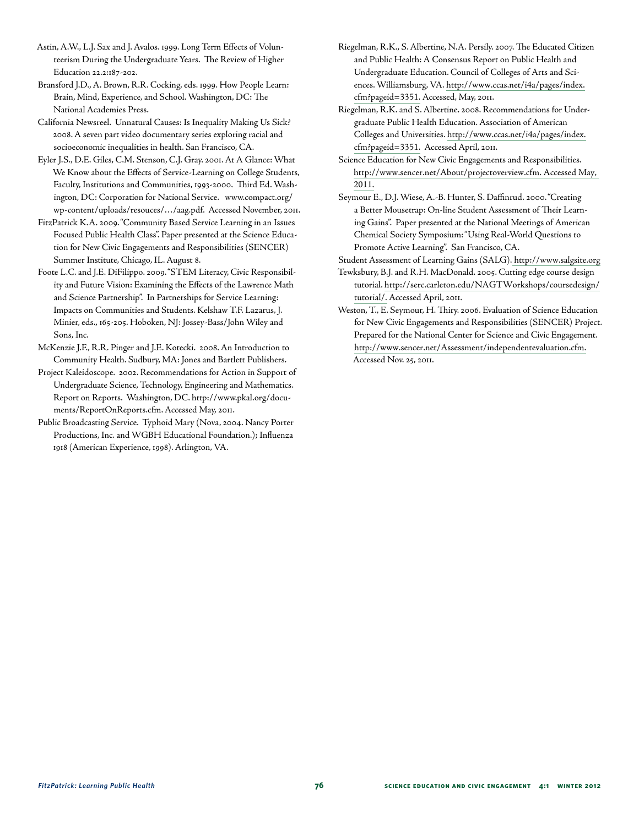Astin, A.W., L.J. Sax and J. Avalos. 1999. Long Term Effects of Volunteerism During the Undergraduate Years. The Review of Higher Education 22.2:187-202.

Bransford J.D., A. Brown, R.R. Cocking, eds. 1999. How People Learn: Brain, Mind, Experience, and School. Washington, DC: The National Academies Press.

California Newsreel. Unnatural Causes: Is Inequality Making Us Sick? 2008. A seven part video documentary series exploring racial and socioeconomic inequalities in health. San Francisco, CA.

Eyler J.S., D.E. Giles, C.M. Stenson, C.J. Gray. 2001. At A Glance: What We Know about the Effects of Service-Learning on College Students, Faculty, Institutions and Communities, 1993-2000. Third Ed. Washington, DC: Corporation for National Service. www.compact.org/ wp-content/uploads/resouces/…/aag.pdf. Accessed November, 2011.

FitzPatrick K.A. 2009. "Community Based Service Learning in an Issues Focused Public Health Class". Paper presented at the Science Education for New Civic Engagements and Responsibilities (SENCER) Summer Institute, Chicago, IL. August 8.

Foote L.C. and J.E. DiFilippo. 2009. "STEM Literacy, Civic Responsibility and Future Vision: Examining the Effects of the Lawrence Math and Science Partnership". In Partnerships for Service Learning: Impacts on Communities and Students. Kelshaw T.F. Lazarus, J. Minier, eds., 165-205. Hoboken, NJ: Jossey-Bass/John Wiley and Sons, Inc.

McKenzie J.F., R.R. Pinger and J.E. Kotecki. 2008. An Introduction to Community Health. Sudbury, MA: Jones and Bartlett Publishers.

Project Kaleidoscope. 2002. Recommendations for Action in Support of Undergraduate Science, Technology, Engineering and Mathematics. Report on Reports. Washington, DC. [http://www.pkal.org/docu](www.aacu.org/leap/documents/GlobalCentury_final.pdf)[ments/ReportOnReports.cfm](www.aacu.org/leap/documents/GlobalCentury_final.pdf). Accessed May, 2011.

Public Broadcasting Service. Typhoid Mary (Nova, 2004. Nancy Porter Productions, Inc. and WGBH Educational Foundation.); Influenza 1918 (American Experience, 1998). Arlington, VA.

Riegelman, R.K., S. Albertine, N.A. Persily. 2007. The Educated Citizen and Public Health: A Consensus Report on Public Health and Undergraduate Education. Council of Colleges of Arts and Sciences. Williamsburg, VA. [http://www.ccas.net/i4a/pages/index.](http://www.ccas.net/i4a/pages/index.cfm?pageid=3351.) [cfm?pageid=3351.](http://www.ccas.net/i4a/pages/index.cfm?pageid=3351.) Accessed, May, 2011.

Riegelman, R.K. and S. Albertine. 2008. Recommendations for Undergraduate Public Health Education. Association of American Colleges and Universities. [http://www.ccas.net/i4a/pages/index.](http://www.ccas.net/i4a/pages/index.cfm?pageid=3351.) [cfm?pageid=3351.](http://www.ccas.net/i4a/pages/index.cfm?pageid=3351.) Accessed April, 2011.

Science Education for New Civic Engagements and Responsibilities. [http://www.sencer.net/About/projectoverview.cfm. Accessed May,](http://www.sencer.net/About/projectoverview.cfm. Accessed May, 2011.)  [2011.](http://www.sencer.net/About/projectoverview.cfm. Accessed May, 2011.)

Seymour E., D.J. Wiese, A.-B. Hunter, S. Daffinrud. 2000. "Creating a Better Mousetrap: On-line Student Assessment of Their Learning Gains". Paper presented at the National Meetings of American Chemical Society Symposium: "Using Real-World Questions to Promote Active Learning". San Francisco, CA.

Student Assessment of Learning Gains (SALG). [http://www.salgsite.org]( http://www.salgsite.org  ) 

Tewksbury, B.J. and R.H. MacDonald. 2005. Cutting edge course design tutorial. [http://serc.carleton.edu/NAGTWorkshops/coursedesign/]( http://serc.carleton.edu/NAGTWorkshops/coursedesign/tutorial/) [tutorial/.]( http://serc.carleton.edu/NAGTWorkshops/coursedesign/tutorial/) Accessed April, 2011.

Weston, T., E. Seymour, H. Thiry. 2006. Evaluation of Science Education for New Civic Engagements and Responsibilities (SENCER) Project. Prepared for the National Center for Science and Civic Engagement. <http://www.sencer.net/Assessment/independentevaluation.cfm.> Accessed Nov. 25, 2011.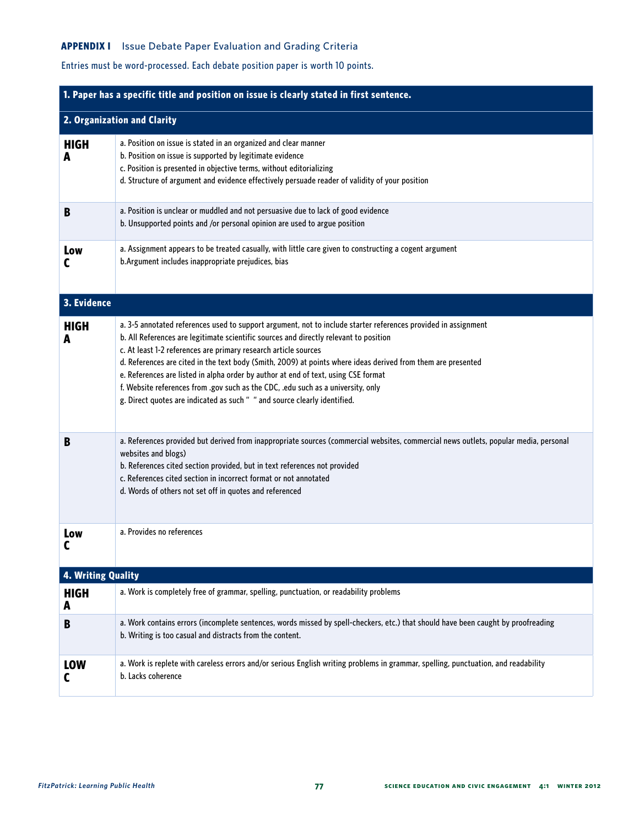#### **APPENDIX I** Issue Debate Paper Evaluation and Grading Criteria

## Entries must be word-processed. Each debate position paper is worth 10 points.

| 1. Paper has a specific title and position on issue is clearly stated in first sentence. |                                                                                                                                                                                                                                                                                                                                                                                                                                                                                                                                                                                                                                                   |  |
|------------------------------------------------------------------------------------------|---------------------------------------------------------------------------------------------------------------------------------------------------------------------------------------------------------------------------------------------------------------------------------------------------------------------------------------------------------------------------------------------------------------------------------------------------------------------------------------------------------------------------------------------------------------------------------------------------------------------------------------------------|--|
| 2. Organization and Clarity                                                              |                                                                                                                                                                                                                                                                                                                                                                                                                                                                                                                                                                                                                                                   |  |
| <b>HIGH</b><br>A                                                                         | a. Position on issue is stated in an organized and clear manner<br>b. Position on issue is supported by legitimate evidence<br>c. Position is presented in objective terms, without editorializing<br>d. Structure of argument and evidence effectively persuade reader of validity of your position                                                                                                                                                                                                                                                                                                                                              |  |
| B                                                                                        | a. Position is unclear or muddled and not persuasive due to lack of good evidence<br>b. Unsupported points and /or personal opinion are used to argue position                                                                                                                                                                                                                                                                                                                                                                                                                                                                                    |  |
| Low                                                                                      | a. Assignment appears to be treated casually, with little care given to constructing a cogent argument<br>b.Argument includes inappropriate prejudices, bias                                                                                                                                                                                                                                                                                                                                                                                                                                                                                      |  |
| 3. Evidence                                                                              |                                                                                                                                                                                                                                                                                                                                                                                                                                                                                                                                                                                                                                                   |  |
| <b>HIGH</b><br>A                                                                         | a. 3-5 annotated references used to support argument, not to include starter references provided in assignment<br>b. All References are legitimate scientific sources and directly relevant to position<br>c. At least 1-2 references are primary research article sources<br>d. References are cited in the text body (Smith, 2009) at points where ideas derived from them are presented<br>e. References are listed in alpha order by author at end of text, using CSE format<br>f. Website references from .gov such as the CDC, .edu such as a university, only<br>g. Direct quotes are indicated as such " " and source clearly identified. |  |
| B                                                                                        | a. References provided but derived from inappropriate sources (commercial websites, commercial news outlets, popular media, personal<br>websites and blogs)<br>b. References cited section provided, but in text references not provided<br>c. References cited section in incorrect format or not annotated<br>d. Words of others not set off in quotes and referenced                                                                                                                                                                                                                                                                           |  |
| Low                                                                                      | a. Provides no references                                                                                                                                                                                                                                                                                                                                                                                                                                                                                                                                                                                                                         |  |
| 4. Writing Quality                                                                       |                                                                                                                                                                                                                                                                                                                                                                                                                                                                                                                                                                                                                                                   |  |
| <b>HIGH</b><br>A                                                                         | a. Work is completely free of grammar, spelling, punctuation, or readability problems                                                                                                                                                                                                                                                                                                                                                                                                                                                                                                                                                             |  |
| B                                                                                        | a. Work contains errors (incomplete sentences, words missed by spell-checkers, etc.) that should have been caught by proofreading<br>b. Writing is too casual and distracts from the content.                                                                                                                                                                                                                                                                                                                                                                                                                                                     |  |
| <b>LOW</b><br>C                                                                          | a. Work is replete with careless errors and/or serious English writing problems in grammar, spelling, punctuation, and readability<br>b. Lacks coherence                                                                                                                                                                                                                                                                                                                                                                                                                                                                                          |  |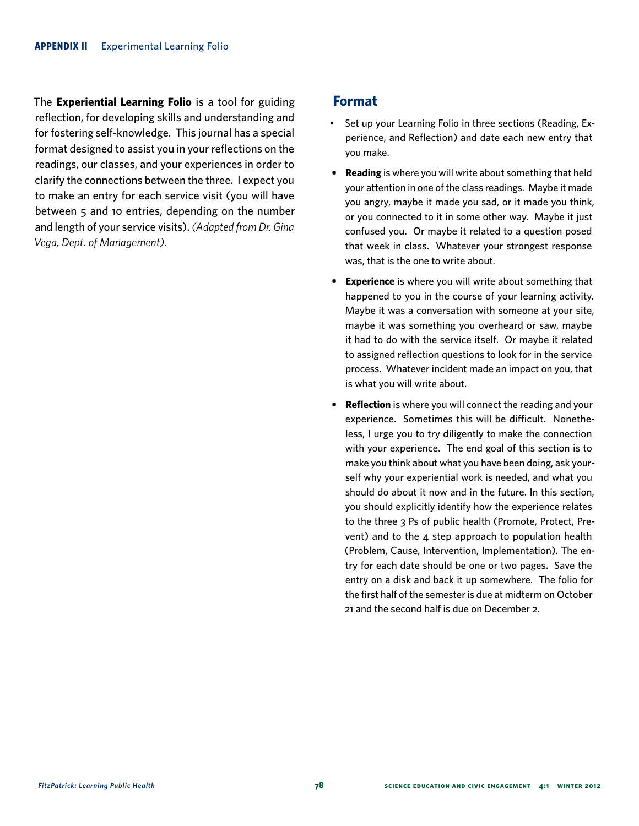The **Experiential Learning Folio** is a tool for guiding reflection, for developing skills and understanding and for fostering self-knowledge. This journal has a special format designed to assist you in your reflections on the readings, our classes, and your experiences in order to clarify the connections between the three. I expect you to make an entry for each service visit (you will have between 5 and 10 entries, depending on the number and length of your service visits). *(Adapted from Dr. Gina Vega, Dept. of Management).*

#### **Format**

- Set up your Learning Folio in three sections (Reading, Experience, and Reflection) and date each new entry that you make.
- **Reading** is where you will write about something that held your attention in one of the class readings. Maybe it made you angry, maybe it made you sad, or it made you think, or you connected to it in some other way. Maybe it just confused you. Or maybe it related to a question posed that week in class. Whatever your strongest response was, that is the one to write about.
- **Experience** is where you will write about something that happened to you in the course of your learning activity. Maybe it was a conversation with someone at your site, maybe it was something you overheard or saw, maybe it had to do with the service itself. Or maybe it related to assigned reflection questions to look for in the service process. Whatever incident made an impact on you, that is what you will write about.
- **Reflection** is where you will connect the reading and your experience. Sometimes this will be difficult. Nonetheless, I urge you to try diligently to make the connection with your experience. The end goal of this section is to make you think about what you have been doing, ask yourself why your experiential work is needed, and what you should do about it now and in the future. In this section, you should explicitly identify how the experience relates to the three 3 Ps of public health (Promote, Protect, Prevent) and to the 4 step approach to population health (Problem, Cause, Intervention, Implementation). The entry for each date should be one or two pages. Save the entry on a disk and back it up somewhere. The folio for the first half of the semester is due at midterm on October 21 and the second half is due on December 2.